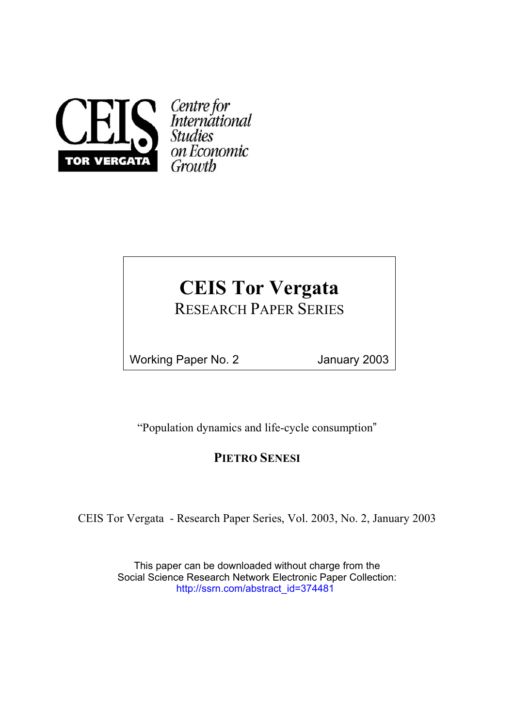

Centre for<br>International<br>Studies on Economic

# **CEIS Tor Vergata**

RESEARCH PAPER SERIES

Working Paper No. 2 January 2003

"Population dynamics and life-cycle consumption"

## **PIETRO SENESI**

CEIS Tor Vergata - Research Paper Series, Vol. 2003, No. 2, January 2003

This paper can be downloaded without charge from the Social Science Research Network Electronic Paper Collection: [http://ssrn.com/abstract\\_id=](http://ssrn.com/abstract_id=374481)374481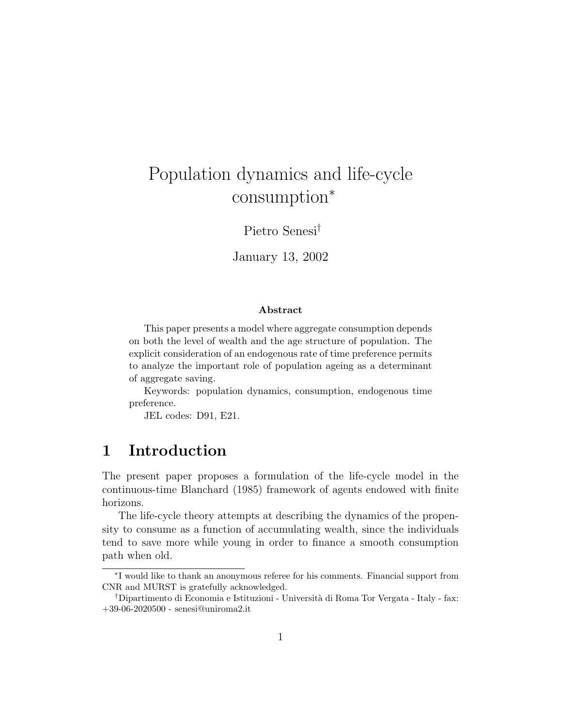# Population dynamics and life-cycle consumption<sup>∗</sup>

Pietro Senesi†

January 13, 2002

#### Abstract

This paper presents a model where aggregate consumption depends on both the level of wealth and the age structure of population. The explicit consideration of an endogenous rate of time preference permits to analyze the important role of population ageing as a determinant of aggregate saving.

Keywords: population dynamics, consumption, endogenous time preference.

JEL codes: D91, E21.

#### 1 Introduction

The present paper proposes a formulation of the life-cycle model in the continuous-time Blanchard (1985) framework of agents endowed with finite horizons.

The life-cycle theory attempts at describing the dynamics of the propensity to consume as a function of accumulating wealth, since the individuals tend to save more while young in order to finance a smooth consumption path when old.

<sup>∗</sup> I would like to thank an anonymous referee for his comments. Financial support from CNR and MURST is gratefully acknowledged.

<sup>†</sup>Dipartimento di Economia e Istituzioni - Universit`a di Roma Tor Vergata - Italy - fax: +39-06-2020500 - senesi@uniroma2.it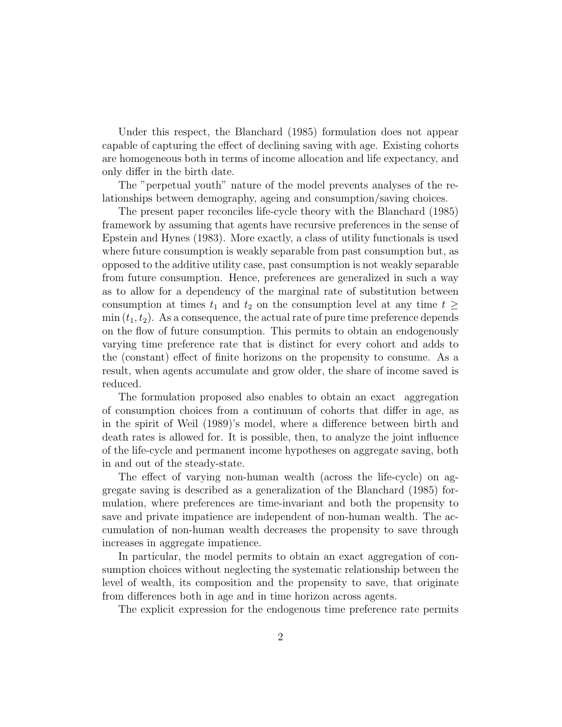Under this respect, the Blanchard (1985) formulation does not appear capable of capturing the effect of declining saving with age. Existing cohorts are homogeneous both in terms of income allocation and life expectancy, and only differ in the birth date.

The "perpetual youth" nature of the model prevents analyses of the relationships between demography, ageing and consumption/saving choices.

The present paper reconciles life-cycle theory with the Blanchard (1985) framework by assuming that agents have recursive preferences in the sense of Epstein and Hynes (1983). More exactly, a class of utility functionals is used where future consumption is weakly separable from past consumption but, as opposed to the additive utility case, past consumption is not weakly separable from future consumption. Hence, preferences are generalized in such a way as to allow for a dependency of the marginal rate of substitution between consumption at times  $t_1$  and  $t_2$  on the consumption level at any time  $t \geq$  $\min(t_1, t_2)$ . As a consequence, the actual rate of pure time preference depends on the flow of future consumption. This permits to obtain an endogenously varying time preference rate that is distinct for every cohort and adds to the (constant) effect of finite horizons on the propensity to consume. As a result, when agents accumulate and grow older, the share of income saved is reduced.

The formulation proposed also enables to obtain an exact aggregation of consumption choices from a continuum of cohorts that differ in age, as in the spirit of Weil (1989)'s model, where a difference between birth and death rates is allowed for. It is possible, then, to analyze the joint influence of the life-cycle and permanent income hypotheses on aggregate saving, both in and out of the steady-state.

The effect of varying non-human wealth (across the life-cycle) on aggregate saving is described as a generalization of the Blanchard (1985) formulation, where preferences are time-invariant and both the propensity to save and private impatience are independent of non-human wealth. The accumulation of non-human wealth decreases the propensity to save through increases in aggregate impatience.

In particular, the model permits to obtain an exact aggregation of consumption choices without neglecting the systematic relationship between the level of wealth, its composition and the propensity to save, that originate from differences both in age and in time horizon across agents.

The explicit expression for the endogenous time preference rate permits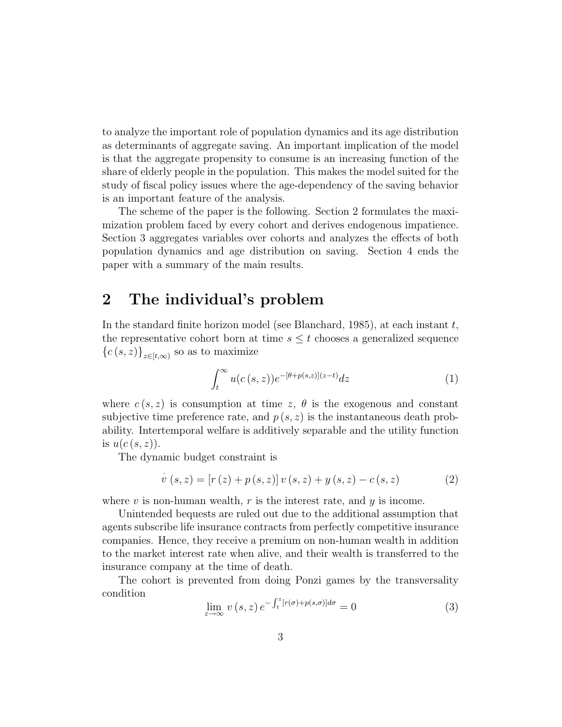to analyze the important role of population dynamics and its age distribution as determinants of aggregate saving. An important implication of the model is that the aggregate propensity to consume is an increasing function of the share of elderly people in the population. This makes the model suited for the study of fiscal policy issues where the age-dependency of the saving behavior is an important feature of the analysis.

The scheme of the paper is the following. Section 2 formulates the maximization problem faced by every cohort and derives endogenous impatience. Section 3 aggregates variables over cohorts and analyzes the effects of both population dynamics and age distribution on saving. Section 4 ends the paper with a summary of the main results.

### 2 The individual's problem

In the standard finite horizon model (see Blanchard, 1985), at each instant  $t$ , the representative cohort born at time  $s \leq t$  chooses a generalized sequence  ${c(s,z)}_{z\in[t,\infty)}$  so as to maximize

$$
\int_{t}^{\infty} u(c(s,z))e^{-\left[\theta+p(s,z)\right](z-t)}dz\tag{1}
$$

where  $c(s, z)$  is consumption at time z,  $\theta$  is the exogenous and constant subjective time preference rate, and  $p(s, z)$  is the instantaneous death probability. Intertemporal welfare is additively separable and the utility function is  $u(c(s, z))$ .

The dynamic budget constraint is

$$
\dot{v}(s, z) = [r(z) + p(s, z)] v(s, z) + y(s, z) - c(s, z)
$$
\n(2)

where  $v$  is non-human wealth,  $r$  is the interest rate, and  $y$  is income.

Unintended bequests are ruled out due to the additional assumption that agents subscribe life insurance contracts from perfectly competitive insurance companies. Hence, they receive a premium on non-human wealth in addition to the market interest rate when alive, and their wealth is transferred to the insurance company at the time of death.

The cohort is prevented from doing Ponzi games by the transversality condition  $\int$   $\int$   $z$ 

$$
\lim_{z \to \infty} v(s, z) e^{-\int_t^z [r(\sigma) + p(s, \sigma)] d\sigma} = 0
$$
\n(3)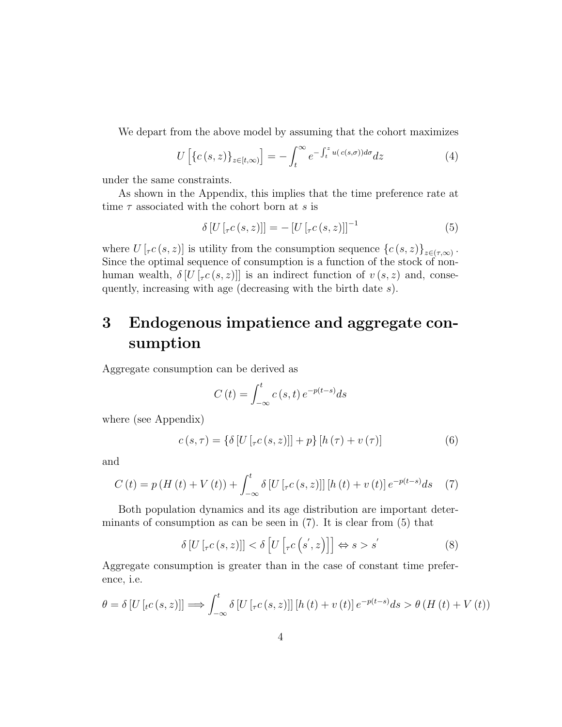We depart from the above model by assuming that the cohort maximizes

$$
U\left[\left\{c\left(s,z\right)\right\}_{z\in\left[t,\infty\right)}\right] = -\int_{t}^{\infty} e^{-\int_{t}^{z} u\left(c\left(s,\sigma\right)\right)d\sigma} dz\tag{4}
$$

under the same constraints.

As shown in the Appendix, this implies that the time preference rate at time  $\tau$  associated with the cohort born at s is

$$
\delta \left[ U\left[ \mathcal{F}(s,z) \right] \right] = -\left[ U\left[ \mathcal{F}(s,z) \right] \right]^{-1} \tag{5}
$$

where  $U\left[\tau c\left(s,z\right)\right]$  is utility from the consumption sequence  $\left\{c\left(s,z\right)\right\}_{z\in\left(\tau,\infty\right)}$ . Since the optimal sequence of consumption is a function of the stock of nonhuman wealth,  $\delta[U[\tau(c(s,z)]]$  is an indirect function of  $v(s,z)$  and, consequently, increasing with age (decreasing with the birth date s).

# 3 Endogenous impatience and aggregate consumption

Aggregate consumption can be derived as

$$
C(t) = \int_{-\infty}^{t} c(s, t) e^{-p(t-s)} ds
$$

where (see Appendix)

$$
c(s,\tau) = \{\delta \left[ U\left[ \tau c\left(s,z\right) \right] \right] + p\} \left[ h\left(\tau\right) + v\left(\tau\right) \right] \tag{6}
$$

and

$$
C(t) = p(H(t) + V(t)) + \int_{-\infty}^{t} \delta [U[\tau c(s, z)]] [h(t) + v(t)] e^{-p(t-s)} ds \quad (7)
$$

Both population dynamics and its age distribution are important determinants of consumption as can be seen in  $(7)$ . It is clear from  $(5)$  that

$$
\delta \left[ U\left[ \tau c\left(s, z\right) \right] \right] < \delta \left[ U\left[ \tau c\left(s^{'}, z\right) \right] \right] \Leftrightarrow s > s' \tag{8}
$$

Aggregate consumption is greater than in the case of constant time preference, i.e.

$$
\theta = \delta \left[ U \left[ t c(s, z) \right] \right] \Longrightarrow \int_{-\infty}^{t} \delta \left[ U \left[ \left[ \int_{-\infty}^{t} c(s, z) \right] \right] \left[ h(t) + v(t) \right] e^{-p(t-s)} ds > \theta \left( H \left( t \right) + V \left( t \right) \right)
$$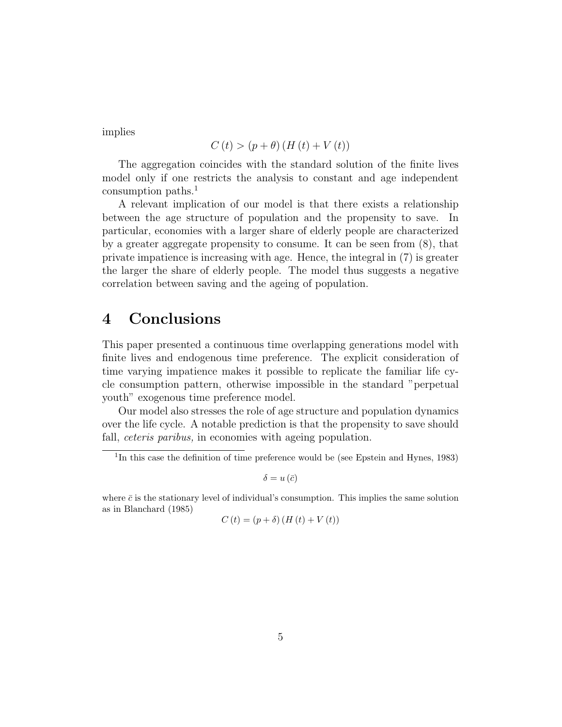implies

$$
C(t) > (p + \theta) (H(t) + V(t))
$$

The aggregation coincides with the standard solution of the finite lives model only if one restricts the analysis to constant and age independent consumption paths.<sup>1</sup>

A relevant implication of our model is that there exists a relationship between the age structure of population and the propensity to save. In particular, economies with a larger share of elderly people are characterized by a greater aggregate propensity to consume. It can be seen from (8), that private impatience is increasing with age. Hence, the integral in (7) is greater the larger the share of elderly people. The model thus suggests a negative correlation between saving and the ageing of population.

### 4 Conclusions

This paper presented a continuous time overlapping generations model with finite lives and endogenous time preference. The explicit consideration of time varying impatience makes it possible to replicate the familiar life cycle consumption pattern, otherwise impossible in the standard "perpetual youth" exogenous time preference model.

Our model also stresses the role of age structure and population dynamics over the life cycle. A notable prediction is that the propensity to save should fall, *ceteris paribus*, in economies with ageing population.

 $\delta = u(\bar{c})$ 

where  $\bar{c}$  is the stationary level of individual's consumption. This implies the same solution as in Blanchard (1985)

$$
C(t) = (p + \delta) (H(t) + V(t))
$$

<sup>&</sup>lt;sup>1</sup>In this case the definition of time preference would be (see Epstein and Hynes, 1983)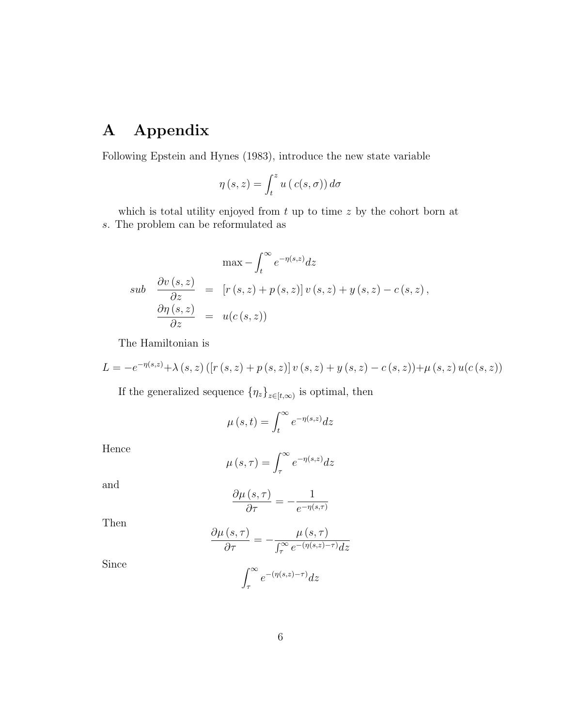# A Appendix

Following Epstein and Hynes (1983), introduce the new state variable

$$
\eta(s, z) = \int_t^z u\left(c(s, \sigma)\right) d\sigma
$$

which is total utility enjoyed from  $t$  up to time  $z$  by the cohort born at s. The problem can be reformulated as

$$
\max - \int_{t}^{\infty} e^{-\eta(s,z)} dz
$$
  
\n
$$
sub \frac{\partial v(s,z)}{\partial z} = [r(s,z) + p(s,z)] v(s,z) + y(s,z) - c(s,z),
$$
  
\n
$$
\frac{\partial \eta(s,z)}{\partial z} = u(c(s,z))
$$

The Hamiltonian is

$$
L = -e^{-\eta(s,z)} + \lambda(s,z) \left( \left[ r\left( s,z \right) + p\left( s,z \right) \right] v\left( s,z \right) + y\left( s,z \right) - c\left( s,z \right) \right) + \mu(s,z) u(c\left( s,z \right))
$$

If the generalized sequence  $\{\eta_z\}_{z\in[t,\infty)}$  is optimal, then

$$
\mu(s,t) = \int_t^{\infty} e^{-\eta(s,z)} dz
$$

Hence

$$
\mu(s,\tau) = \int_{\tau}^{\infty} e^{-\eta(s,z)} dz
$$

and

$$
\frac{\partial \mu\left(s,\tau\right)}{\partial \tau} = -\frac{1}{e^{-\eta\left(s,\tau\right)}}
$$

Then

$$
\frac{\partial \mu (s, \tau)}{\partial \tau} = -\frac{\mu (s, \tau)}{\int_{\tau}^{\infty} e^{-(\eta (s, z) - \tau)} dz}
$$

Since

$$
\int_{\tau}^{\infty} e^{-(\eta(s,z)-\tau)} dz
$$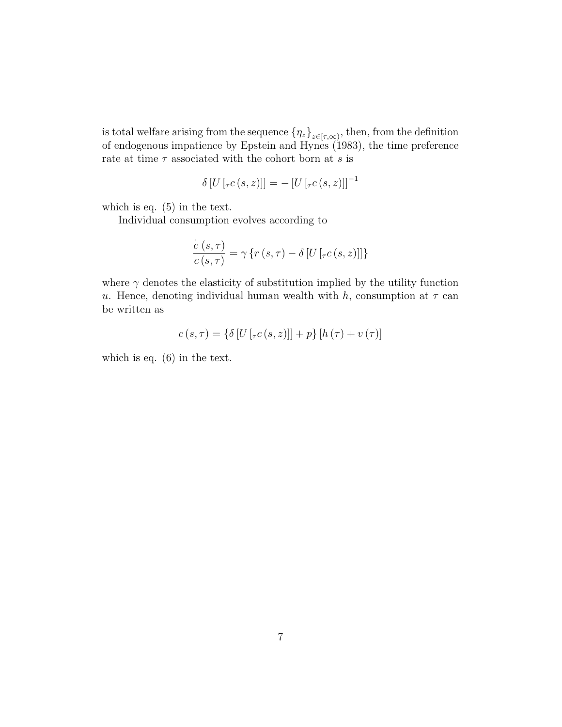is total welfare arising from the sequence  $\{\eta_z\}_{z\in[\tau,\infty)}$ , then, from the definition of endogenous impatience by Epstein and Hynes (1983), the time preference rate at time  $\tau$  associated with the cohort born at s is

$$
\delta[U[\tau c(s,z)]] = -[U[\tau c(s,z)]]^{-1}
$$

which is eq. (5) in the text.

Individual consumption evolves according to

$$
\frac{\dot{c}(s,\tau)}{c(s,\tau)} = \gamma \left\{ r(s,\tau) - \delta \left[ U\left[ \lceil_{\tau} c(s,z) \right] \right] \right\}
$$

where  $\gamma$  denotes the elasticity of substitution implied by the utility function u. Hence, denoting individual human wealth with h, consumption at  $\tau$  can be written as

$$
c(s,\tau) = \{\delta \left[ U\left[ \tau c\left(s,z\right) \right] \right] + p\} \left[ h\left( \tau \right) + v\left( \tau \right) \right]
$$

which is eq. (6) in the text.